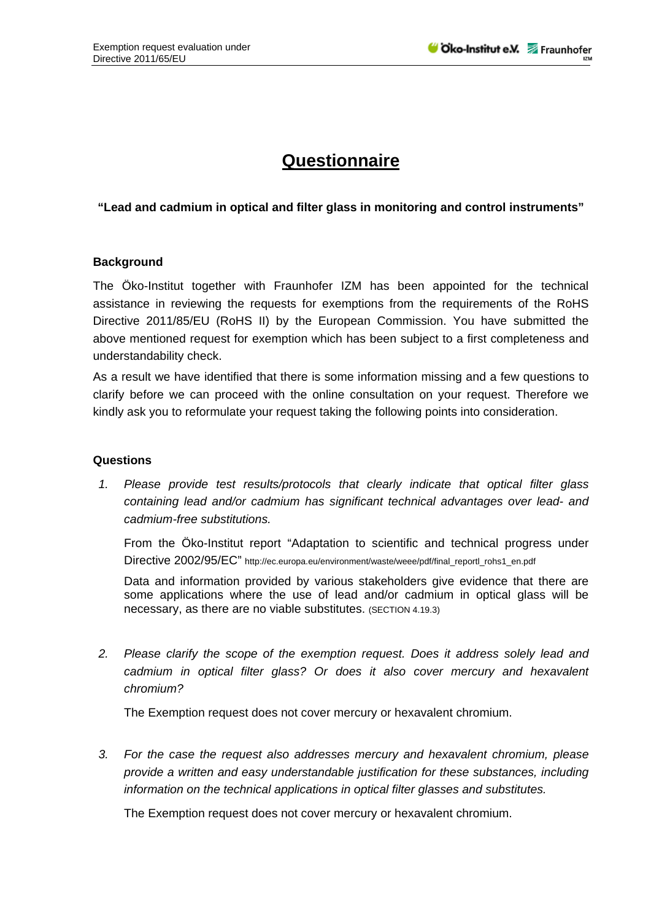## **Questionnaire**

## **"Lead and cadmium in optical and filter glass in monitoring and control instruments"**

## **Background**

The Öko-Institut together with Fraunhofer IZM has been appointed for the technical assistance in reviewing the requests for exemptions from the requirements of the RoHS Directive 2011/85/EU (RoHS II) by the European Commission. You have submitted the above mentioned request for exemption which has been subject to a first completeness and understandability check.

As a result we have identified that there is some information missing and a few questions to clarify before we can proceed with the online consultation on your request. Therefore we kindly ask you to reformulate your request taking the following points into consideration.

## **Questions**

*1. Please provide test results/protocols that clearly indicate that optical filter glass containing lead and/or cadmium has significant technical advantages over lead- and cadmium-free substitutions.* 

From the Öko-Institut report "Adaptation to scientific and technical progress under Directive 2002/95/EC" http://ec.europa.eu/environment/waste/weee/pdf/final\_reportl\_rohs1\_en.pdf

Data and information provided by various stakeholders give evidence that there are some applications where the use of lead and/or cadmium in optical glass will be necessary, as there are no viable substitutes. (SECTION 4.19.3)

*2. Please clarify the scope of the exemption request. Does it address solely lead and cadmium in optical filter glass? Or does it also cover mercury and hexavalent chromium?* 

The Exemption request does not cover mercury or hexavalent chromium.

*3. For the case the request also addresses mercury and hexavalent chromium, please provide a written and easy understandable justification for these substances, including information on the technical applications in optical filter glasses and substitutes.* 

The Exemption request does not cover mercury or hexavalent chromium.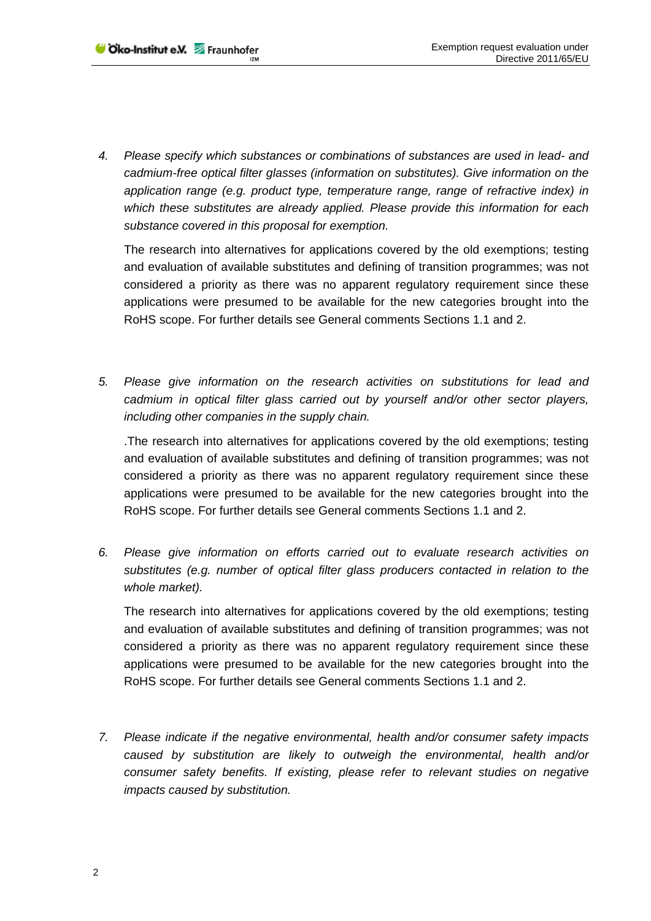*4. Please specify which substances or combinations of substances are used in lead- and cadmium-free optical filter glasses (information on substitutes). Give information on the application range (e.g. product type, temperature range, range of refractive index) in which these substitutes are already applied. Please provide this information for each substance covered in this proposal for exemption.* 

The research into alternatives for applications covered by the old exemptions; testing and evaluation of available substitutes and defining of transition programmes; was not considered a priority as there was no apparent regulatory requirement since these applications were presumed to be available for the new categories brought into the RoHS scope. For further details see General comments Sections 1.1 and 2.

*5. Please give information on the research activities on substitutions for lead and cadmium in optical filter glass carried out by yourself and/or other sector players, including other companies in the supply chain.* 

.The research into alternatives for applications covered by the old exemptions; testing and evaluation of available substitutes and defining of transition programmes; was not considered a priority as there was no apparent regulatory requirement since these applications were presumed to be available for the new categories brought into the RoHS scope. For further details see General comments Sections 1.1 and 2.

*6. Please give information on efforts carried out to evaluate research activities on substitutes (e.g. number of optical filter glass producers contacted in relation to the whole market).* 

The research into alternatives for applications covered by the old exemptions; testing and evaluation of available substitutes and defining of transition programmes; was not considered a priority as there was no apparent regulatory requirement since these applications were presumed to be available for the new categories brought into the RoHS scope. For further details see General comments Sections 1.1 and 2.

*7. Please indicate if the negative environmental, health and/or consumer safety impacts caused by substitution are likely to outweigh the environmental, health and/or consumer safety benefits. If existing, please refer to relevant studies on negative impacts caused by substitution.*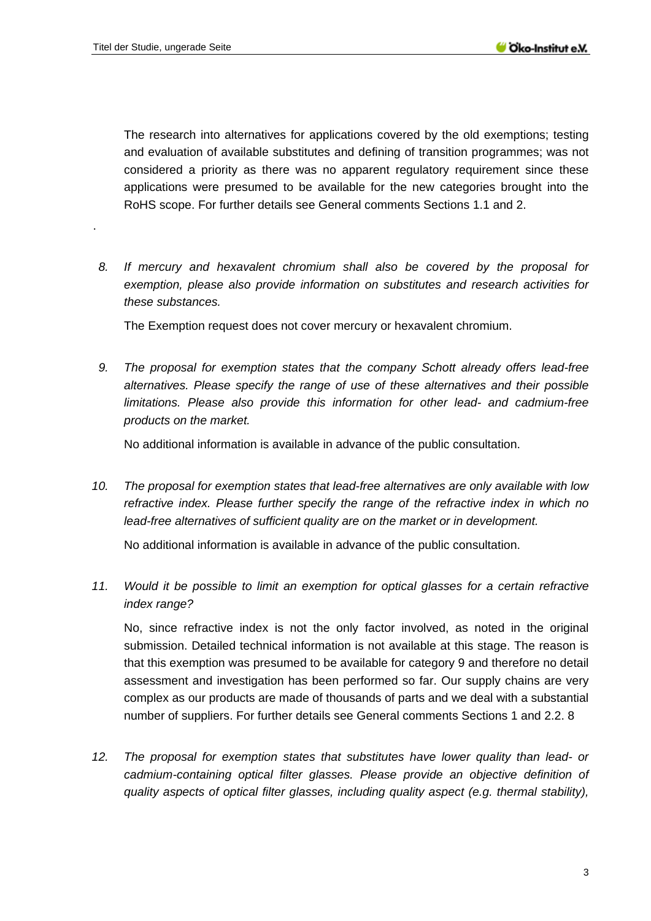.

The research into alternatives for applications covered by the old exemptions; testing and evaluation of available substitutes and defining of transition programmes; was not considered a priority as there was no apparent regulatory requirement since these applications were presumed to be available for the new categories brought into the RoHS scope. For further details see General comments Sections 1.1 and 2.

*8. If mercury and hexavalent chromium shall also be covered by the proposal for exemption, please also provide information on substitutes and research activities for these substances.* 

The Exemption request does not cover mercury or hexavalent chromium.

*9. The proposal for exemption states that the company Schott already offers lead-free alternatives. Please specify the range of use of these alternatives and their possible limitations. Please also provide this information for other lead- and cadmium-free products on the market.* 

No additional information is available in advance of the public consultation.

*10. The proposal for exemption states that lead-free alternatives are only available with low refractive index. Please further specify the range of the refractive index in which no lead-free alternatives of sufficient quality are on the market or in development.* 

No additional information is available in advance of the public consultation.

*11. Would it be possible to limit an exemption for optical glasses for a certain refractive index range?* 

No, since refractive index is not the only factor involved, as noted in the original submission. Detailed technical information is not available at this stage. The reason is that this exemption was presumed to be available for category 9 and therefore no detail assessment and investigation has been performed so far. Our supply chains are very complex as our products are made of thousands of parts and we deal with a substantial number of suppliers. For further details see General comments Sections 1 and 2.2. 8

*12. The proposal for exemption states that substitutes have lower quality than lead- or cadmium-containing optical filter glasses. Please provide an objective definition of quality aspects of optical filter glasses, including quality aspect (e.g. thermal stability),*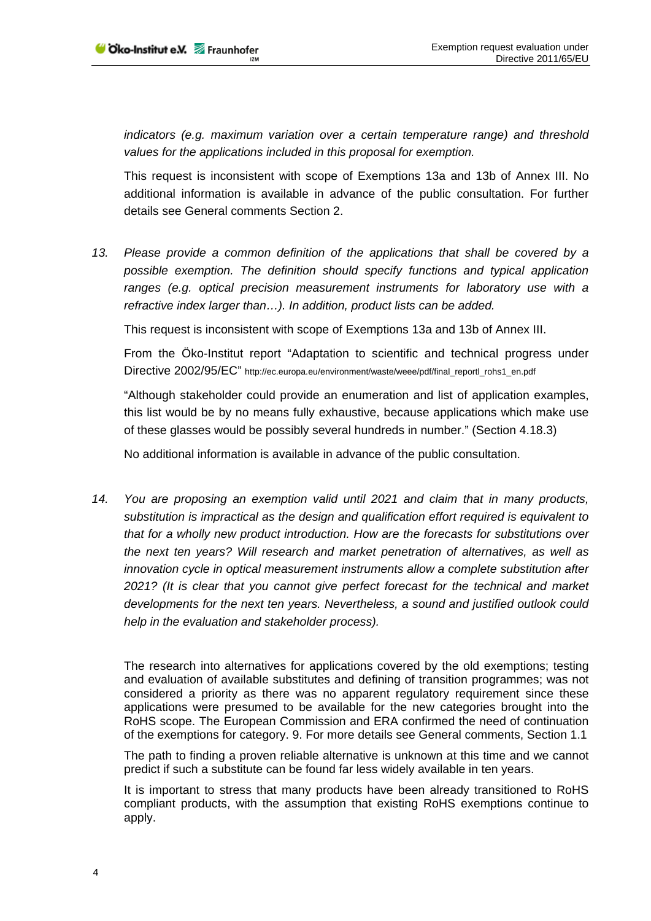*indicators (e.g. maximum variation over a certain temperature range) and threshold values for the applications included in this proposal for exemption.* 

This request is inconsistent with scope of Exemptions 13a and 13b of Annex III. No additional information is available in advance of the public consultation. For further details see General comments Section 2.

*13. Please provide a common definition of the applications that shall be covered by a possible exemption. The definition should specify functions and typical application ranges (e.g. optical precision measurement instruments for laboratory use with a refractive index larger than…). In addition, product lists can be added.* 

This request is inconsistent with scope of Exemptions 13a and 13b of Annex III.

From the Öko-Institut report "Adaptation to scientific and technical progress under Directive 2002/95/EC" http://ec.europa.eu/environment/waste/weee/pdf/final\_reportl\_rohs1\_en.pdf

"Although stakeholder could provide an enumeration and list of application examples, this list would be by no means fully exhaustive, because applications which make use of these glasses would be possibly several hundreds in number." (Section 4.18.3)

No additional information is available in advance of the public consultation.

*14. You are proposing an exemption valid until 2021 and claim that in many products, substitution is impractical as the design and qualification effort required is equivalent to that for a wholly new product introduction. How are the forecasts for substitutions over the next ten years? Will research and market penetration of alternatives, as well as innovation cycle in optical measurement instruments allow a complete substitution after 2021? (It is clear that you cannot give perfect forecast for the technical and market developments for the next ten years. Nevertheless, a sound and justified outlook could help in the evaluation and stakeholder process).* 

The research into alternatives for applications covered by the old exemptions; testing and evaluation of available substitutes and defining of transition programmes; was not considered a priority as there was no apparent regulatory requirement since these applications were presumed to be available for the new categories brought into the RoHS scope. The European Commission and ERA confirmed the need of continuation of the exemptions for category. 9. For more details see General comments, Section 1.1

The path to finding a proven reliable alternative is unknown at this time and we cannot predict if such a substitute can be found far less widely available in ten years.

It is important to stress that many products have been already transitioned to RoHS compliant products, with the assumption that existing RoHS exemptions continue to apply.